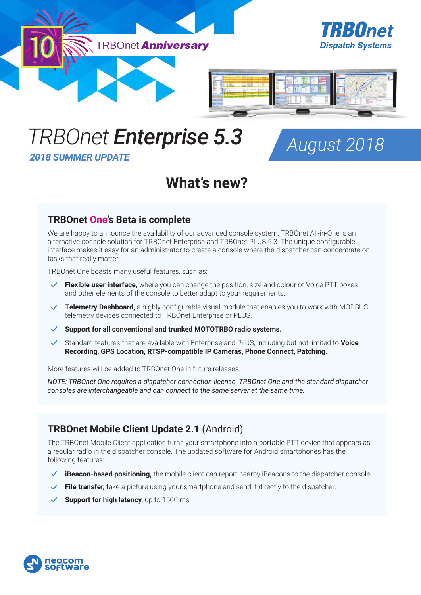

# *TRBOnet Enterprise 5.3 2018 SUMMER UPDATE*

*August 2018*

## **What's new?**

### **TRBOnet One's Beta is complete**

We are happy to announce the availability of our advanced console system. TRBOnet All-in-One is an alternative console solution for TRBOnet Enterprise and TRBOnet PLUS 5.3. The unique configurable interface makes it easy for an administrator to create a console where the dispatcher can concentrate on tasks that really matter.

TRBOnet One boasts many useful features, such as:

- **Flexible user interface,** where you can change the position, size and colour of Voice PTT boxes and other elements of the console to better adapt to your requirements.
- **Telemetry Dashboard,** a highly configurable visual module that enables you to work with MODBUS telemetry devices connected to TRBOnet Enterprise or PLUS.
- **Support for all conventional and trunked MOTOTRBO radio systems.**
- Standard features that are available with Enterprise and PLUS, including but not limited to **Voice Recording, GPS Location, RTSP-compatible IP Cameras, Phone Connect, Patching.**

More features will be added to TRBOnet One in future releases.

*NOTE: TRBOnet One requires a dispatcher connection license. TRBOnet One and the standard dispatcher consoles are interchangeable and can connect to the same server at the same time.*

## **TRBOnet Mobile Client Update 2.1** (Android)

The TRBOnet Mobile Client application turns your smartphone into a portable PTT device that appears as a regular radio in the dispatcher console. The updated software for Android smartphones has the following features:

- **iBeacon-based positioning,** the mobile client can report nearby iBeacons to the dispatcher console.
- **File transfer,** take a picture using your smartphone and send it directly to the dispatcher.
- ◆ **Support for high latency**, up to 1500 ms.